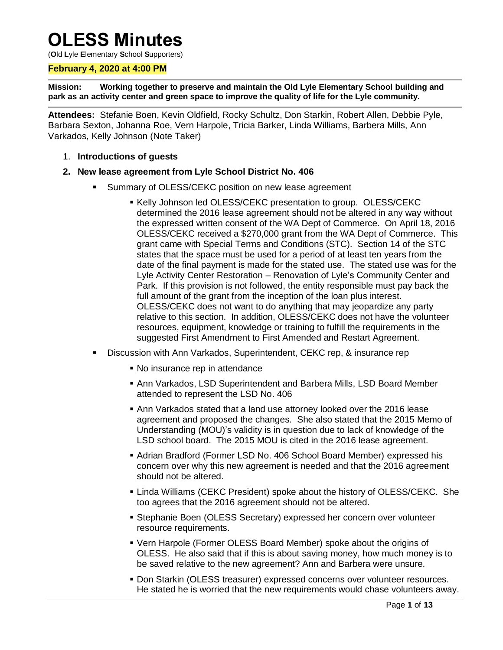# **OLESS Minutes**

(**O**ld **L**yle **E**lementary **S**chool **S**upporters)

## **February 4, 2020 at 4:00 PM**

**Mission: Working together to preserve and maintain the Old Lyle Elementary School building and park as an activity center and green space to improve the quality of life for the Lyle community.**

**Attendees:** Stefanie Boen, Kevin Oldfield, Rocky Schultz, Don Starkin, Robert Allen, Debbie Pyle, Barbara Sexton, Johanna Roe, Vern Harpole, Tricia Barker, Linda Williams, Barbera Mills, Ann Varkados, Kelly Johnson (Note Taker)

- 1. **Introductions of guests**
- **2. New lease agreement from Lyle School District No. 406**
	- Summary of OLESS/CEKC position on new lease agreement
		- Kelly Johnson led OLESS/CEKC presentation to group. OLESS/CEKC determined the 2016 lease agreement should not be altered in any way without the expressed written consent of the WA Dept of Commerce. On April 18, 2016 OLESS/CEKC received a \$270,000 grant from the WA Dept of Commerce. This grant came with Special Terms and Conditions (STC). Section 14 of the STC states that the space must be used for a period of at least ten years from the date of the final payment is made for the stated use. The stated use was for the Lyle Activity Center Restoration – Renovation of Lyle's Community Center and Park. If this provision is not followed, the entity responsible must pay back the full amount of the grant from the inception of the loan plus interest. OLESS/CEKC does not want to do anything that may jeopardize any party relative to this section. In addition, OLESS/CEKC does not have the volunteer resources, equipment, knowledge or training to fulfill the requirements in the suggested First Amendment to First Amended and Restart Agreement.
	- Discussion with Ann Varkados, Superintendent, CEKC rep, & insurance rep
		- No insurance rep in attendance
		- Ann Varkados, LSD Superintendent and Barbera Mills, LSD Board Member attended to represent the LSD No. 406
		- Ann Varkados stated that a land use attorney looked over the 2016 lease agreement and proposed the changes. She also stated that the 2015 Memo of Understanding (MOU)'s validity is in question due to lack of knowledge of the LSD school board. The 2015 MOU is cited in the 2016 lease agreement.
		- Adrian Bradford (Former LSD No. 406 School Board Member) expressed his concern over why this new agreement is needed and that the 2016 agreement should not be altered.
		- Linda Williams (CEKC President) spoke about the history of OLESS/CEKC. She too agrees that the 2016 agreement should not be altered.
		- Stephanie Boen (OLESS Secretary) expressed her concern over volunteer resource requirements.
		- Vern Harpole (Former OLESS Board Member) spoke about the origins of OLESS. He also said that if this is about saving money, how much money is to be saved relative to the new agreement? Ann and Barbera were unsure.
		- **Don Starkin (OLESS treasurer) expressed concerns over volunteer resources.** He stated he is worried that the new requirements would chase volunteers away.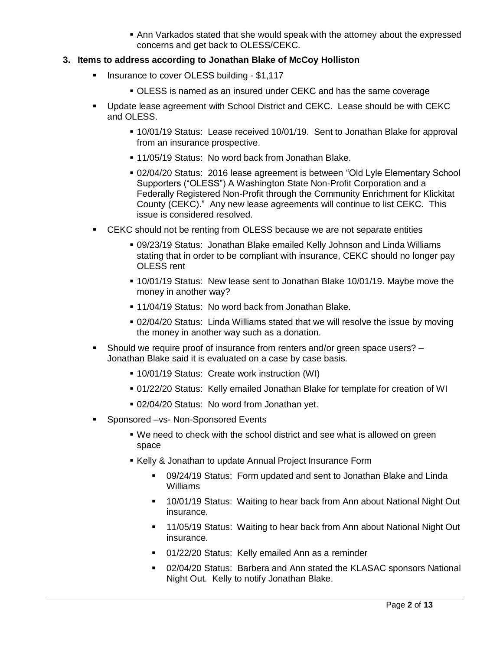Ann Varkados stated that she would speak with the attorney about the expressed concerns and get back to OLESS/CEKC.

## **3. Items to address according to Jonathan Blake of McCoy Holliston**

- **Insurance to cover OLESS building \$1,117** 
	- OLESS is named as an insured under CEKC and has the same coverage
- Update lease agreement with School District and CEKC. Lease should be with CEKC and OLESS.
	- 10/01/19 Status: Lease received 10/01/19. Sent to Jonathan Blake for approval from an insurance prospective.
	- **11/05/19 Status: No word back from Jonathan Blake.**
	- 02/04/20 Status: 2016 lease agreement is between "Old Lyle Elementary School Supporters ("OLESS") A Washington State Non-Profit Corporation and a Federally Registered Non-Profit through the Community Enrichment for Klickitat County (CEKC)." Any new lease agreements will continue to list CEKC. This issue is considered resolved.
- CEKC should not be renting from OLESS because we are not separate entities
	- 09/23/19 Status: Jonathan Blake emailed Kelly Johnson and Linda Williams stating that in order to be compliant with insurance, CEKC should no longer pay OLESS rent
	- 10/01/19 Status: New lease sent to Jonathan Blake 10/01/19. Maybe move the money in another way?
	- **11/04/19 Status: No word back from Jonathan Blake.**
	- 02/04/20 Status: Linda Williams stated that we will resolve the issue by moving the money in another way such as a donation.
- Should we require proof of insurance from renters and/or green space users? Jonathan Blake said it is evaluated on a case by case basis.
	- 10/01/19 Status: Create work instruction (WI)
	- 01/22/20 Status: Kelly emailed Jonathan Blake for template for creation of WI
	- 02/04/20 Status: No word from Jonathan yet.
- Sponsored –vs- Non-Sponsored Events
	- We need to check with the school district and see what is allowed on green space
	- Kelly & Jonathan to update Annual Project Insurance Form
		- 09/24/19 Status: Form updated and sent to Jonathan Blake and Linda Williams
		- <sup>■</sup> 10/01/19 Status: Waiting to hear back from Ann about National Night Out insurance.
		- **11/05/19 Status: Waiting to hear back from Ann about National Night Out** insurance.
		- 01/22/20 Status: Kelly emailed Ann as a reminder
		- 02/04/20 Status: Barbera and Ann stated the KLASAC sponsors National Night Out. Kelly to notify Jonathan Blake.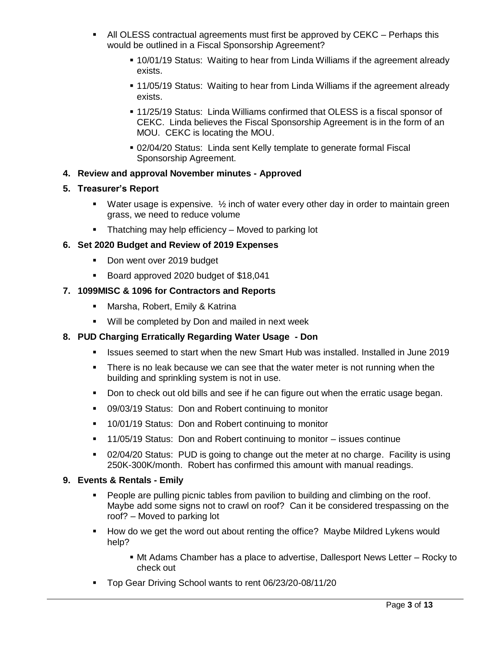- All OLESS contractual agreements must first be approved by CEKC Perhaps this would be outlined in a Fiscal Sponsorship Agreement?
	- 10/01/19 Status: Waiting to hear from Linda Williams if the agreement already exists.
	- 11/05/19 Status: Waiting to hear from Linda Williams if the agreement already exists.
	- 11/25/19 Status: Linda Williams confirmed that OLESS is a fiscal sponsor of CEKC. Linda believes the Fiscal Sponsorship Agreement is in the form of an MOU. CEKC is locating the MOU.
	- 02/04/20 Status: Linda sent Kelly template to generate formal Fiscal Sponsorship Agreement.

## **4. Review and approval November minutes - Approved**

## **5. Treasurer's Report**

- **Water usage is expensive.**  $\frac{1}{2}$  inch of water every other day in order to maintain green grass, we need to reduce volume
- **Thatching may help efficiency Moved to parking lot**

## **6. Set 2020 Budget and Review of 2019 Expenses**

- Don went over 2019 budget
- Board approved 2020 budget of \$18,041

## **7. 1099MISC & 1096 for Contractors and Reports**

- Marsha, Robert, Emily & Katrina
- **Will be completed by Don and mailed in next week**

# **8. PUD Charging Erratically Regarding Water Usage - Don**

- **In It issues seemed to start when the new Smart Hub was installed. Installed in June 2019**
- There is no leak because we can see that the water meter is not running when the building and sprinkling system is not in use.
- Don to check out old bills and see if he can figure out when the erratic usage began.
- 09/03/19 Status: Don and Robert continuing to monitor
- **10/01/19 Status: Don and Robert continuing to monitor**
- 11/05/19 Status: Don and Robert continuing to monitor issues continue
- 02/04/20 Status: PUD is going to change out the meter at no charge. Facility is using 250K-300K/month. Robert has confirmed this amount with manual readings.

## **9. Events & Rentals - Emily**

- People are pulling picnic tables from pavilion to building and climbing on the roof. Maybe add some signs not to crawl on roof? Can it be considered trespassing on the roof? – Moved to parking lot
- **How do we get the word out about renting the office? Maybe Mildred Lykens would** help?
	- Mt Adams Chamber has a place to advertise, Dallesport News Letter Rocky to check out
- Top Gear Driving School wants to rent 06/23/20-08/11/20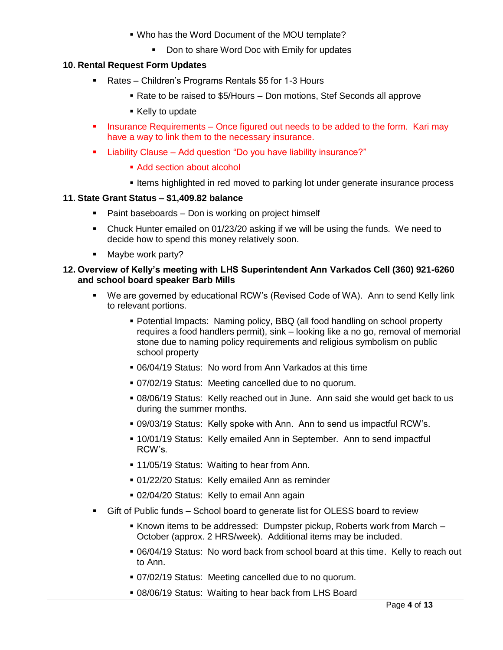- Who has the Word Document of the MOU template?
	- Don to share Word Doc with Emily for updates

## **10. Rental Request Form Updates**

- Rates Children's Programs Rentals \$5 for 1-3 Hours
	- Rate to be raised to \$5/Hours Don motions, Stef Seconds all approve
	- Kelly to update
- Insurance Requirements Once figured out needs to be added to the form. Kari may have a way to link them to the necessary insurance.
- Liability Clause Add question "Do you have liability insurance?"
	- Add section about alcohol
	- Items highlighted in red moved to parking lot under generate insurance process

#### **11. State Grant Status – \$1,409.82 balance**

- Paint baseboards Don is working on project himself
- Chuck Hunter emailed on 01/23/20 asking if we will be using the funds. We need to decide how to spend this money relatively soon.
- Maybe work party?

#### **12. Overview of Kelly's meeting with LHS Superintendent Ann Varkados Cell (360) 921-6260 and school board speaker Barb Mills**

- We are governed by educational RCW's (Revised Code of WA). Ann to send Kelly link to relevant portions.
	- Potential Impacts: Naming policy, BBQ (all food handling on school property requires a food handlers permit), sink – looking like a no go, removal of memorial stone due to naming policy requirements and religious symbolism on public school property
	- 06/04/19 Status: No word from Ann Varkados at this time
	- 07/02/19 Status: Meeting cancelled due to no quorum.
	- 08/06/19 Status: Kelly reached out in June. Ann said she would get back to us during the summer months.
	- 09/03/19 Status: Kelly spoke with Ann. Ann to send us impactful RCW's.
	- 10/01/19 Status: Kelly emailed Ann in September. Ann to send impactful RCW's.
	- **11/05/19 Status: Waiting to hear from Ann.**
	- 01/22/20 Status: Kelly emailed Ann as reminder
	- 02/04/20 Status: Kelly to email Ann again
- Gift of Public funds School board to generate list for OLESS board to review
	- Known items to be addressed: Dumpster pickup, Roberts work from March October (approx. 2 HRS/week). Additional items may be included.
	- 06/04/19 Status: No word back from school board at this time. Kelly to reach out to Ann.
	- 07/02/19 Status: Meeting cancelled due to no quorum.
	- 08/06/19 Status: Waiting to hear back from LHS Board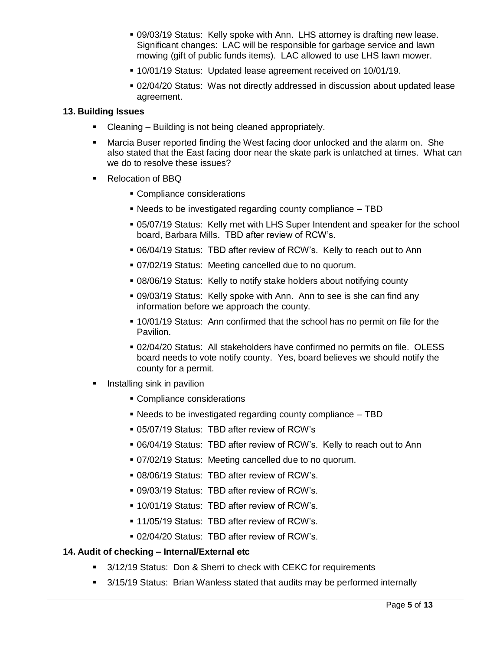- 09/03/19 Status: Kelly spoke with Ann. LHS attorney is drafting new lease. Significant changes: LAC will be responsible for garbage service and lawn mowing (gift of public funds items). LAC allowed to use LHS lawn mower.
- 10/01/19 Status: Updated lease agreement received on 10/01/19.
- 02/04/20 Status: Was not directly addressed in discussion about updated lease agreement.

#### **13. Building Issues**

- Cleaning Building is not being cleaned appropriately.
- Marcia Buser reported finding the West facing door unlocked and the alarm on. She also stated that the East facing door near the skate park is unlatched at times. What can we do to resolve these issues?
- Relocation of BBQ
	- **Compliance considerations**
	- Needs to be investigated regarding county compliance TBD
	- 05/07/19 Status: Kelly met with LHS Super Intendent and speaker for the school board, Barbara Mills. TBD after review of RCW's.
	- 06/04/19 Status: TBD after review of RCW's. Kelly to reach out to Ann
	- 07/02/19 Status: Meeting cancelled due to no quorum.
	- 08/06/19 Status: Kelly to notify stake holders about notifying county
	- 09/03/19 Status: Kelly spoke with Ann. Ann to see is she can find any information before we approach the county.
	- 10/01/19 Status: Ann confirmed that the school has no permit on file for the Pavilion.
	- 02/04/20 Status: All stakeholders have confirmed no permits on file. OLESS board needs to vote notify county. Yes, board believes we should notify the county for a permit.
- Installing sink in pavilion
	- **Compliance considerations**
	- Needs to be investigated regarding county compliance TBD
	- 05/07/19 Status: TBD after review of RCW's
	- 06/04/19 Status: TBD after review of RCW's. Kelly to reach out to Ann
	- 07/02/19 Status: Meeting cancelled due to no quorum.
	- 08/06/19 Status: TBD after review of RCW's.
	- 09/03/19 Status: TBD after review of RCW's.
	- 10/01/19 Status: TBD after review of RCW's.
	- **.** 11/05/19 Status: TBD after review of RCW's.
	- 02/04/20 Status: TBD after review of RCW's.

#### **14. Audit of checking – Internal/External etc**

- 3/12/19 Status: Don & Sherri to check with CEKC for requirements
- 3/15/19 Status: Brian Wanless stated that audits may be performed internally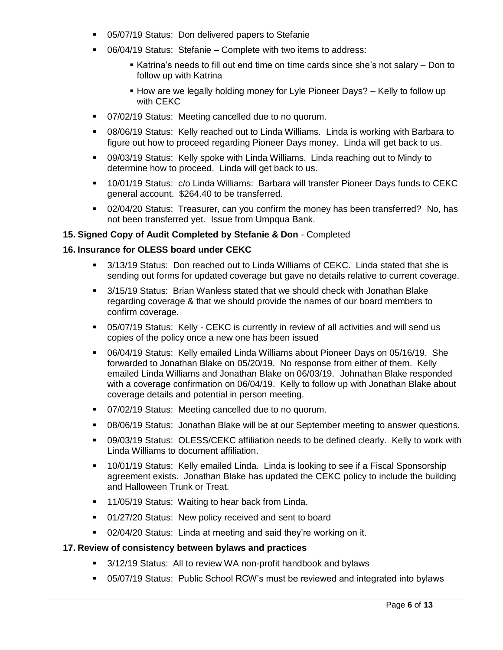- 05/07/19 Status: Don delivered papers to Stefanie
- 06/04/19 Status: Stefanie Complete with two items to address:
	- Katrina's needs to fill out end time on time cards since she's not salary Don to follow up with Katrina
	- How are we legally holding money for Lyle Pioneer Days? Kelly to follow up with CEKC
- 07/02/19 Status: Meeting cancelled due to no quorum.
- 08/06/19 Status: Kelly reached out to Linda Williams. Linda is working with Barbara to figure out how to proceed regarding Pioneer Days money. Linda will get back to us.
- 09/03/19 Status: Kelly spoke with Linda Williams. Linda reaching out to Mindy to determine how to proceed. Linda will get back to us.
- 10/01/19 Status: c/o Linda Williams: Barbara will transfer Pioneer Days funds to CEKC general account. \$264.40 to be transferred.
- 02/04/20 Status: Treasurer, can you confirm the money has been transferred? No, has not been transferred yet. Issue from Umpqua Bank.

## **15. Signed Copy of Audit Completed by Stefanie & Don** - Completed

## **16. Insurance for OLESS board under CEKC**

- 3/13/19 Status: Don reached out to Linda Williams of CEKC. Linda stated that she is sending out forms for updated coverage but gave no details relative to current coverage.
- 3/15/19 Status: Brian Wanless stated that we should check with Jonathan Blake regarding coverage & that we should provide the names of our board members to confirm coverage.
- 05/07/19 Status: Kelly CEKC is currently in review of all activities and will send us copies of the policy once a new one has been issued
- 06/04/19 Status: Kelly emailed Linda Williams about Pioneer Days on 05/16/19. She forwarded to Jonathan Blake on 05/20/19. No response from either of them. Kelly emailed Linda Williams and Jonathan Blake on 06/03/19. Johnathan Blake responded with a coverage confirmation on 06/04/19. Kelly to follow up with Jonathan Blake about coverage details and potential in person meeting.
- 07/02/19 Status: Meeting cancelled due to no quorum.
- 08/06/19 Status: Jonathan Blake will be at our September meeting to answer questions.
- 09/03/19 Status: OLESS/CEKC affiliation needs to be defined clearly. Kelly to work with Linda Williams to document affiliation.
- 10/01/19 Status: Kelly emailed Linda. Linda is looking to see if a Fiscal Sponsorship agreement exists. Jonathan Blake has updated the CEKC policy to include the building and Halloween Trunk or Treat.
- **11/05/19 Status: Waiting to hear back from Linda.**
- 01/27/20 Status: New policy received and sent to board
- 02/04/20 Status: Linda at meeting and said they're working on it.

## **17. Review of consistency between bylaws and practices**

- 3/12/19 Status: All to review WA non-profit handbook and bylaws
- 05/07/19 Status: Public School RCW's must be reviewed and integrated into bylaws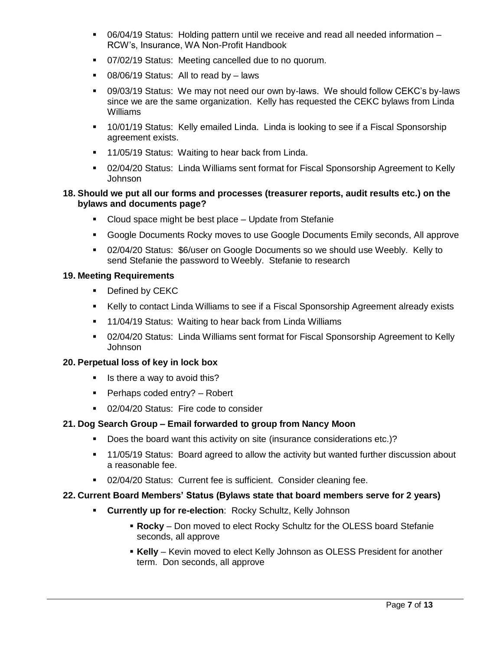- 06/04/19 Status: Holding pattern until we receive and read all needed information RCW's, Insurance, WA Non-Profit Handbook
- 07/02/19 Status: Meeting cancelled due to no quorum.
- 08/06/19 Status: All to read by laws
- 09/03/19 Status: We may not need our own by-laws. We should follow CEKC's by-laws since we are the same organization. Kelly has requested the CEKC bylaws from Linda Williams
- **10/01/19 Status: Kelly emailed Linda. Linda is looking to see if a Fiscal Sponsorship** agreement exists.
- **11/05/19 Status: Waiting to hear back from Linda.**
- 02/04/20 Status: Linda Williams sent format for Fiscal Sponsorship Agreement to Kelly Johnson

## **18. Should we put all our forms and processes (treasurer reports, audit results etc.) on the bylaws and documents page?**

- **Cloud space might be best place Update from Stefanie**
- Google Documents Rocky moves to use Google Documents Emily seconds, All approve
- 02/04/20 Status: \$6/user on Google Documents so we should use Weebly. Kelly to send Stefanie the password to Weebly. Stefanie to research

## **19. Meeting Requirements**

- **•** Defined by CEKC
- Kelly to contact Linda Williams to see if a Fiscal Sponsorship Agreement already exists
- **11/04/19 Status: Waiting to hear back from Linda Williams**
- 02/04/20 Status: Linda Williams sent format for Fiscal Sponsorship Agreement to Kelly Johnson

## **20. Perpetual loss of key in lock box**

- $\blacksquare$  Is there a way to avoid this?
- Perhaps coded entry? Robert
- **02/04/20 Status: Fire code to consider**

## **21. Dog Search Group – Email forwarded to group from Nancy Moon**

- Does the board want this activity on site (insurance considerations etc.)?
- 11/05/19 Status: Board agreed to allow the activity but wanted further discussion about a reasonable fee.
- **02/04/20 Status: Current fee is sufficient. Consider cleaning fee.**

## **22. Current Board Members' Status (Bylaws state that board members serve for 2 years)**

- **Currently up for re-election**: Rocky Schultz, Kelly Johnson
	- **Rocky**  Don moved to elect Rocky Schultz for the OLESS board Stefanie seconds, all approve
	- **Kelly**  Kevin moved to elect Kelly Johnson as OLESS President for another term. Don seconds, all approve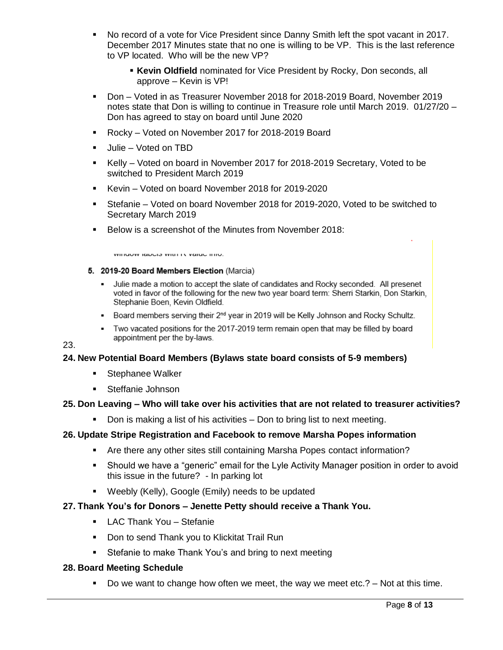- No record of a vote for Vice President since Danny Smith left the spot vacant in 2017. December 2017 Minutes state that no one is willing to be VP. This is the last reference to VP located. Who will be the new VP?
	- **Kevin Oldfield** nominated for Vice President by Rocky, Don seconds, all approve – Kevin is VP!
- Don Voted in as Treasurer November 2018 for 2018-2019 Board, November 2019 notes state that Don is willing to continue in Treasure role until March 2019. 01/27/20 – Don has agreed to stay on board until June 2020
- Rocky Voted on November 2017 for 2018-2019 Board
- Julie Voted on TBD
- Kelly Voted on board in November 2017 for 2018-2019 Secretary, Voted to be switched to President March 2019
- Kevin Voted on board November 2018 for 2019-2020
- Stefanie Voted on board November 2018 for 2019-2020, Voted to be switched to Secretary March 2019
- Below is a screenshot of the Minutes from November 2018:

WITHOUW REDGED WILLETT VOING THIS.

#### 5. 2019-20 Board Members Election (Marcia)

- Julie made a motion to accept the slate of candidates and Rocky seconded. All presenet voted in favor of the following for the new two year board term: Sherri Starkin, Don Starkin, Stephanie Boen, Kevin Oldfield.
- Board members serving their 2<sup>nd</sup> year in 2019 will be Kelly Johnson and Rocky Schultz.
- Two vacated positions for the 2017-2019 term remain open that may be filled by board appointment per the by-laws.

23.

# **24. New Potential Board Members (Bylaws state board consists of 5-9 members)**

- **Stephanee Walker**
- **Steffanie Johnson**

# **25. Don Leaving – Who will take over his activities that are not related to treasurer activities?**

• Don is making a list of his activities – Don to bring list to next meeting.

# **26. Update Stripe Registration and Facebook to remove Marsha Popes information**

- Are there any other sites still containing Marsha Popes contact information?
- Should we have a "generic" email for the Lyle Activity Manager position in order to avoid this issue in the future? - In parking lot
- Weebly (Kelly), Google (Emily) needs to be updated
- **27. Thank You's for Donors – Jenette Petty should receive a Thank You.**
	- **-** LAC Thank You Stefanie
	- **Don to send Thank you to Klickitat Trail Run**
	- **Stefanie to make Thank You's and bring to next meeting**

## **28. Board Meeting Schedule**

Do we want to change how often we meet, the way we meet etc.?  $-$  Not at this time.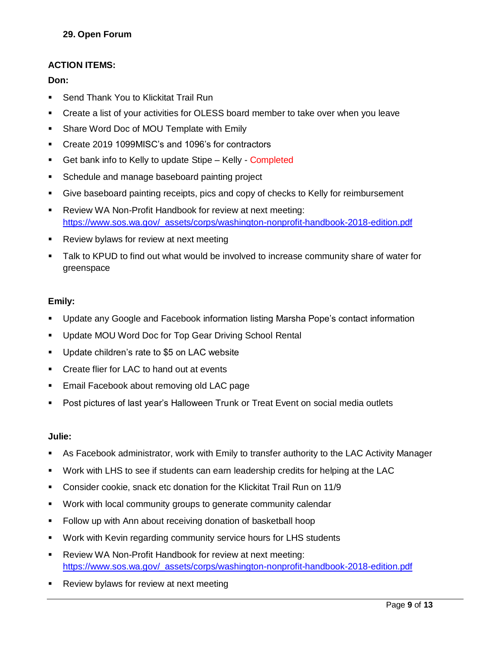# **ACTION ITEMS:**

# **Don:**

- Send Thank You to Klickitat Trail Run
- Create a list of your activities for OLESS board member to take over when you leave
- **Share Word Doc of MOU Template with Emily**
- Create 2019 1099MISC's and 1096's for contractors
- Get bank info to Kelly to update Stipe Kelly Completed
- **Schedule and manage baseboard painting project**
- Give baseboard painting receipts, pics and copy of checks to Kelly for reimbursement
- Review WA Non-Profit Handbook for review at next meeting: [https://www.sos.wa.gov/\\_assets/corps/washington-nonprofit-handbook-2018-edition.pdf](https://www.sos.wa.gov/_assets/corps/washington-nonprofit-handbook-2018-edition.pdf)
- **Review bylaws for review at next meeting**
- Talk to KPUD to find out what would be involved to increase community share of water for greenspace

# **Emily:**

- Update any Google and Facebook information listing Marsha Pope's contact information
- Update MOU Word Doc for Top Gear Driving School Rental
- **Update children's rate to \$5 on LAC website**
- **EXECT** Create flier for LAC to hand out at events
- **Email Facebook about removing old LAC page**
- Post pictures of last year's Halloween Trunk or Treat Event on social media outlets

# **Julie:**

- As Facebook administrator, work with Emily to transfer authority to the LAC Activity Manager
- Work with LHS to see if students can earn leadership credits for helping at the LAC
- Consider cookie, snack etc donation for the Klickitat Trail Run on 11/9
- Work with local community groups to generate community calendar
- Follow up with Ann about receiving donation of basketball hoop
- Work with Kevin regarding community service hours for LHS students
- **-** Review WA Non-Profit Handbook for review at next meeting: [https://www.sos.wa.gov/\\_assets/corps/washington-nonprofit-handbook-2018-edition.pdf](https://www.sos.wa.gov/_assets/corps/washington-nonprofit-handbook-2018-edition.pdf)
- **Review bylaws for review at next meeting**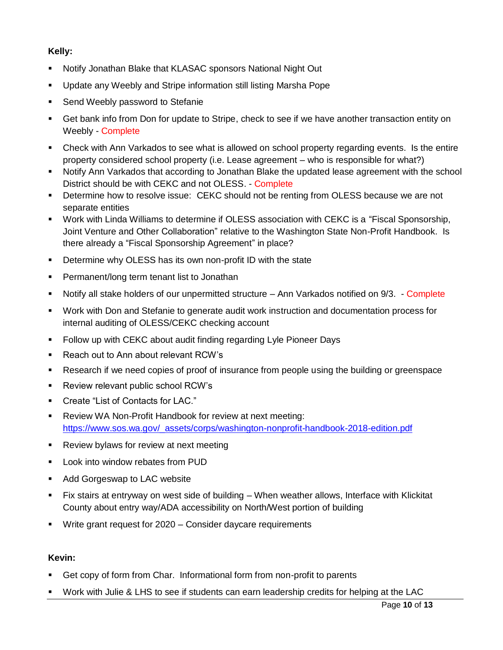# **Kelly:**

- Notify Jonathan Blake that KLASAC sponsors National Night Out
- Update any Weebly and Stripe information still listing Marsha Pope
- **Send Weebly password to Stefanie**
- Get bank info from Don for update to Stripe, check to see if we have another transaction entity on Weebly - Complete
- Check with Ann Varkados to see what is allowed on school property regarding events. Is the entire property considered school property (i.e. Lease agreement – who is responsible for what?)
- Notify Ann Varkados that according to Jonathan Blake the updated lease agreement with the school District should be with CEKC and not OLESS. - Complete
- Determine how to resolve issue: CEKC should not be renting from OLESS because we are not separate entities
- Work with Linda Williams to determine if OLESS association with CEKC is a "Fiscal Sponsorship, Joint Venture and Other Collaboration" relative to the Washington State Non-Profit Handbook. Is there already a "Fiscal Sponsorship Agreement" in place?
- **•** Determine why OLESS has its own non-profit ID with the state
- **Permanent/long term tenant list to Jonathan**
- Notify all stake holders of our unpermitted structure Ann Varkados notified on 9/3. Complete
- Work with Don and Stefanie to generate audit work instruction and documentation process for internal auditing of OLESS/CEKC checking account
- **Follow up with CEKC about audit finding regarding Lyle Pioneer Days**
- Reach out to Ann about relevant RCW's
- Research if we need copies of proof of insurance from people using the building or greenspace
- **Review relevant public school RCW's**
- Create "List of Contacts for LAC."
- Review WA Non-Profit Handbook for review at next meeting: [https://www.sos.wa.gov/\\_assets/corps/washington-nonprofit-handbook-2018-edition.pdf](https://www.sos.wa.gov/_assets/corps/washington-nonprofit-handbook-2018-edition.pdf)
- **Review bylaws for review at next meeting**
- **Look into window rebates from PUD**
- **Add Gorgeswap to LAC website**
- Fix stairs at entryway on west side of building When weather allows, Interface with Klickitat County about entry way/ADA accessibility on North/West portion of building
- Write grant request for 2020 Consider daycare requirements

## **Kevin:**

- Get copy of form from Char. Informational form from non-profit to parents
- Work with Julie & LHS to see if students can earn leadership credits for helping at the LAC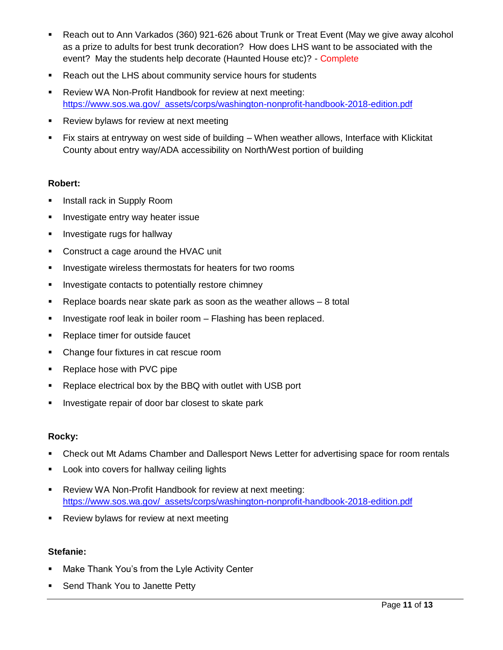- Reach out to Ann Varkados (360) 921-626 about Trunk or Treat Event (May we give away alcohol as a prize to adults for best trunk decoration? How does LHS want to be associated with the event? May the students help decorate (Haunted House etc)? - Complete
- **Reach out the LHS about community service hours for students**
- Review WA Non-Profit Handbook for review at next meeting: [https://www.sos.wa.gov/\\_assets/corps/washington-nonprofit-handbook-2018-edition.pdf](https://www.sos.wa.gov/_assets/corps/washington-nonprofit-handbook-2018-edition.pdf)
- **Review bylaws for review at next meeting**
- Fix stairs at entryway on west side of building When weather allows, Interface with Klickitat County about entry way/ADA accessibility on North/West portion of building

# **Robert:**

- **Install rack in Supply Room**
- **Investigate entry way heater issue**
- **Investigate rugs for hallway**
- **Construct a cage around the HVAC unit**
- **Investigate wireless thermostats for heaters for two rooms**
- **Investigate contacts to potentially restore chimney**
- Replace boards near skate park as soon as the weather allows 8 total
- $\blacksquare$  Investigate roof leak in boiler room  $-$  Flashing has been replaced.
- **Replace timer for outside faucet**
- Change four fixtures in cat rescue room
- Replace hose with PVC pipe
- **Replace electrical box by the BBQ with outlet with USB port**
- **Investigate repair of door bar closest to skate park**

# **Rocky:**

- Check out Mt Adams Chamber and Dallesport News Letter for advertising space for room rentals
- **Look into covers for hallway ceiling lights**
- **-** Review WA Non-Profit Handbook for review at next meeting: [https://www.sos.wa.gov/\\_assets/corps/washington-nonprofit-handbook-2018-edition.pdf](https://www.sos.wa.gov/_assets/corps/washington-nonprofit-handbook-2018-edition.pdf)
- **Review bylaws for review at next meeting**

# **Stefanie:**

- **Make Thank You's from the Lyle Activity Center**
- **Send Thank You to Janette Petty**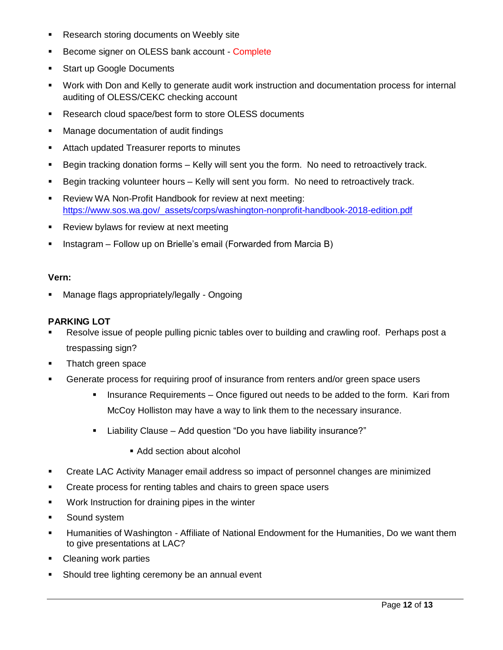- **Research storing documents on Weebly site**
- Become signer on OLESS bank account Complete
- **Start up Google Documents**
- Work with Don and Kelly to generate audit work instruction and documentation process for internal auditing of OLESS/CEKC checking account
- **Research cloud space/best form to store OLESS documents**
- **Manage documentation of audit findings**
- **EXEC** Attach updated Treasurer reports to minutes
- **Begin tracking donation forms Kelly will sent you the form. No need to retroactively track.**
- **Begin tracking volunteer hours Kelly will sent you form. No need to retroactively track.**
- Review WA Non-Profit Handbook for review at next meeting: [https://www.sos.wa.gov/\\_assets/corps/washington-nonprofit-handbook-2018-edition.pdf](https://www.sos.wa.gov/_assets/corps/washington-nonprofit-handbook-2018-edition.pdf)
- **Review bylaws for review at next meeting**
- **Instagram Follow up on Brielle's email (Forwarded from Marcia B)**

#### **Vern:**

Manage flags appropriately/legally - Ongoing

## **PARKING LOT**

- Resolve issue of people pulling picnic tables over to building and crawling roof. Perhaps post a trespassing sign?
- **Thatch green space**
- **Generate process for requiring proof of insurance from renters and/or green space users** 
	- Insurance Requirements Once figured out needs to be added to the form. Kari from McCoy Holliston may have a way to link them to the necessary insurance.
	- Liability Clause Add question "Do you have liability insurance?"
		- Add section about alcohol
- Create LAC Activity Manager email address so impact of personnel changes are minimized
- **•** Create process for renting tables and chairs to green space users
- **Work Instruction for draining pipes in the winter**
- **Sound system**
- Humanities of Washington Affiliate of National Endowment for the Humanities, Do we want them to give presentations at LAC?
- **Cleaning work parties**
- **Should tree lighting ceremony be an annual event**